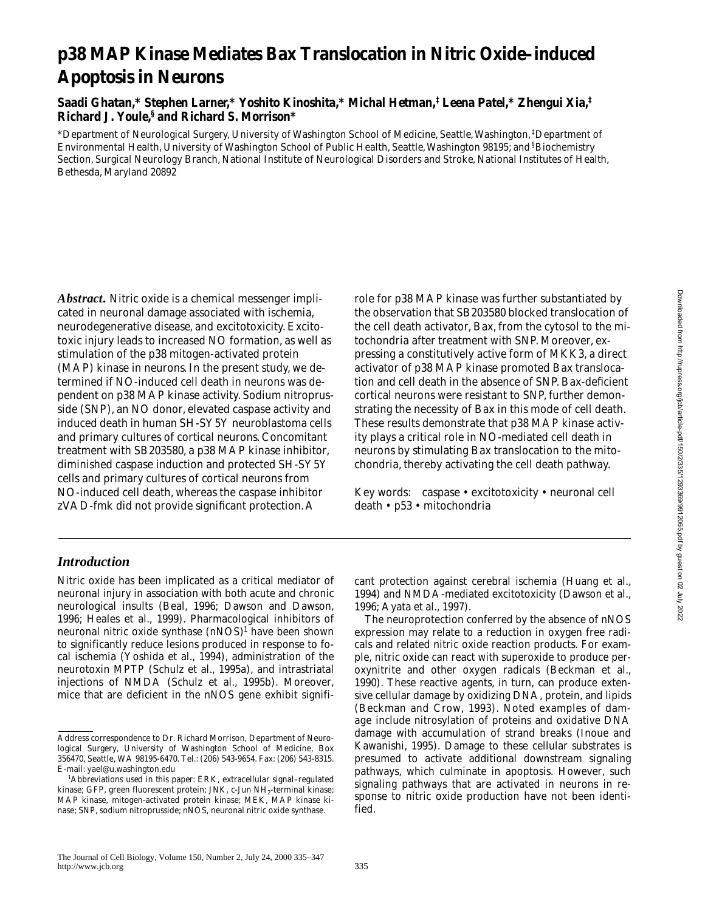# **p38 MAP Kinase Mediates Bax Translocation in Nitric Oxide–induced Apoptosis in Neurons**

**Saadi Ghatan,\* Stephen Larner,\* Yoshito Kinoshita,\* Michal Hetman,‡ Leena Patel,\* Zhengui Xia,‡ Richard J. Youle,§ and Richard S. Morrison\***

\*Department of Neurological Surgery, University of Washington School of Medicine, Seattle, Washington, ‡ Department of Environmental Health, University of Washington School of Public Health, Seattle, Washington 98195; and § Biochemistry Section, Surgical Neurology Branch, National Institute of Neurological Disorders and Stroke, National Institutes of Health, Bethesda, Maryland 20892

*Abstract.* Nitric oxide is a chemical messenger implicated in neuronal damage associated with ischemia, neurodegenerative disease, and excitotoxicity. Excitotoxic injury leads to increased NO formation, as well as stimulation of the p38 mitogen-activated protein (MAP) kinase in neurons. In the present study, we determined if NO-induced cell death in neurons was dependent on p38 MAP kinase activity. Sodium nitroprusside (SNP), an NO donor, elevated caspase activity and induced death in human SH-SY5Y neuroblastoma cells and primary cultures of cortical neurons. Concomitant treatment with SB203580, a p38 MAP kinase inhibitor, diminished caspase induction and protected SH-SY5Y cells and primary cultures of cortical neurons from NO-induced cell death, whereas the caspase inhibitor zVAD-fmk did not provide significant protection. A

role for p38 MAP kinase was further substantiated by the observation that SB203580 blocked translocation of the cell death activator, Bax, from the cytosol to the mitochondria after treatment with SNP. Moreover, expressing a constitutively active form of MKK3, a direct activator of p38 MAP kinase promoted Bax translocation and cell death in the absence of SNP. Bax-deficient cortical neurons were resistant to SNP, further demonstrating the necessity of Bax in this mode of cell death. These results demonstrate that p38 MAP kinase activity plays a critical role in NO-mediated cell death in neurons by stimulating Bax translocation to the mitochondria, thereby activating the cell death pathway.

Key words: caspase • excitotoxicity • neuronal cell death • p53 • mitochondria

## *Introduction*

Nitric oxide has been implicated as a critical mediator of neuronal injury in association with both acute and chronic neurological insults (Beal, 1996; Dawson and Dawson, 1996; Heales et al., 1999). Pharmacological inhibitors of neuronal nitric oxide synthase (nNOS)<sup>1</sup> have been shown to significantly reduce lesions produced in response to focal ischemia (Yoshida et al., 1994), administration of the neurotoxin MPTP (Schulz et al., 1995a), and intrastriatal injections of NMDA (Schulz et al., 1995b). Moreover, mice that are deficient in the nNOS gene exhibit significant protection against cerebral ischemia (Huang et al., 1994) and NMDA-mediated excitotoxicity (Dawson et al., 1996; Ayata et al., 1997).

The neuroprotection conferred by the absence of nNOS expression may relate to a reduction in oxygen free radicals and related nitric oxide reaction products. For example, nitric oxide can react with superoxide to produce peroxynitrite and other oxygen radicals (Beckman et al., 1990). These reactive agents, in turn, can produce extensive cellular damage by oxidizing DNA, protein, and lipids (Beckman and Crow, 1993). Noted examples of damage include nitrosylation of proteins and oxidative DNA damage with accumulation of strand breaks (Inoue and Kawanishi, 1995). Damage to these cellular substrates is presumed to activate additional downstream signaling pathways, which culminate in apoptosis. However, such signaling pathways that are activated in neurons in response to nitric oxide production have not been identified.

Address correspondence to Dr. Richard Morrison, Department of Neurological Surgery, University of Washington School of Medicine, Box 356470, Seattle, WA 98195-6470. Tel.: (206) 543-9654. Fax: (206) 543-8315. E-mail: yael@u.washington.edu

<sup>1</sup> *Abbreviations used in this paper:* ERK, extracellular signal–regulated kinase; GFP, green fluorescent protein; JNK, c-Jun NH2-terminal kinase; MAP kinase, mitogen-activated protein kinase; MEK, MAP kinase kinase; SNP, sodium nitroprusside; nNOS, neuronal nitric oxide synthase.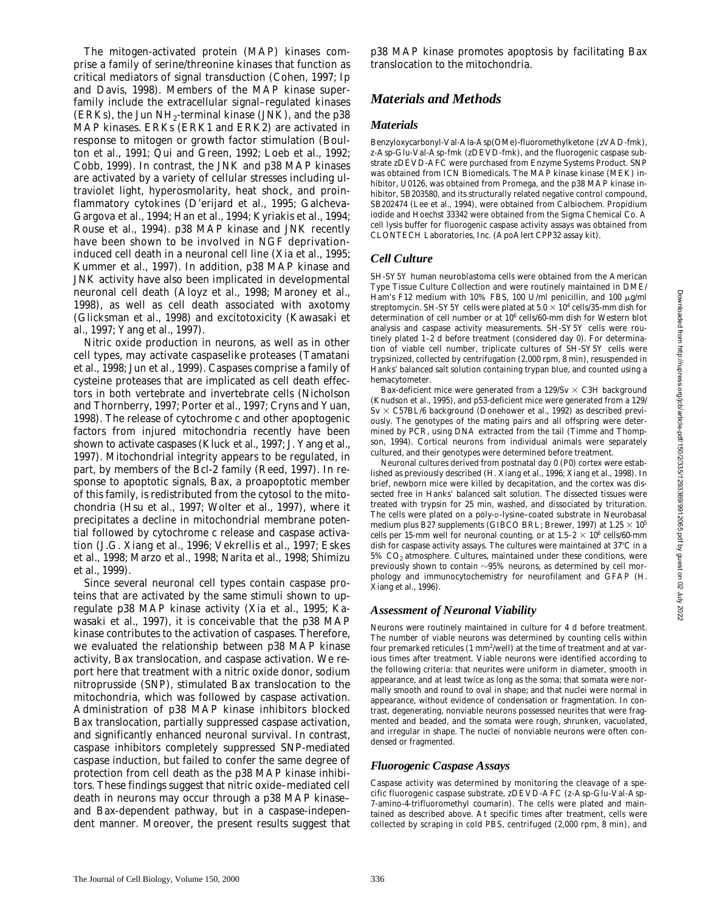The mitogen-activated protein (MAP) kinases comprise a family of serine/threonine kinases that function as critical mediators of signal transduction (Cohen, 1997; Ip and Davis, 1998). Members of the MAP kinase superfamily include the extracellular signal–regulated kinases (ERKs), the Jun  $NH<sub>2</sub>$ -terminal kinase (JNK), and the p38 MAP kinases. ERKs (ERK1 and ERK2) are activated in response to mitogen or growth factor stimulation (Boulton et al., 1991; Qui and Green, 1992; Loeb et al., 1992; Cobb, 1999). In contrast, the JNK and p38 MAP kinases are activated by a variety of cellular stresses including ultraviolet light, hyperosmolarity, heat shock, and proinflammatory cytokines (D'erijard et al., 1995; Galcheva-Gargova et al., 1994; Han et al., 1994; Kyriakis et al., 1994; Rouse et al., 1994). p38 MAP kinase and JNK recently have been shown to be involved in NGF deprivationinduced cell death in a neuronal cell line (Xia et al., 1995; Kummer et al., 1997). In addition, p38 MAP kinase and JNK activity have also been implicated in developmental neuronal cell death (Aloyz et al., 1998; Maroney et al., 1998), as well as cell death associated with axotomy (Glicksman et al., 1998) and excitotoxicity (Kawasaki et al., 1997; Yang et al., 1997).

Nitric oxide production in neurons, as well as in other cell types, may activate caspaselike proteases (Tamatani et al., 1998; Jun et al., 1999). Caspases comprise a family of cysteine proteases that are implicated as cell death effectors in both vertebrate and invertebrate cells (Nicholson and Thornberry, 1997; Porter et al., 1997; Cryns and Yuan, 1998). The release of cytochrome *c* and other apoptogenic factors from injured mitochondria recently have been shown to activate caspases (Kluck et al., 1997; J. Yang et al., 1997). Mitochondrial integrity appears to be regulated, in part, by members of the Bcl-2 family (Reed, 1997). In response to apoptotic signals, Bax, a proapoptotic member of this family, is redistributed from the cytosol to the mitochondria (Hsu et al., 1997; Wolter et al., 1997), where it precipitates a decline in mitochondrial membrane potential followed by cytochrome *c* release and caspase activation (J.G. Xiang et al., 1996; Vekrellis et al., 1997; Eskes et al., 1998; Marzo et al., 1998; Narita et al., 1998; Shimizu et al., 1999).

Since several neuronal cell types contain caspase proteins that are activated by the same stimuli shown to upregulate p38 MAP kinase activity (Xia et al., 1995; Kawasaki et al., 1997), it is conceivable that the p38 MAP kinase contributes to the activation of caspases. Therefore, we evaluated the relationship between p38 MAP kinase activity, Bax translocation, and caspase activation. We report here that treatment with a nitric oxide donor, sodium nitroprusside (SNP), stimulated Bax translocation to the mitochondria, which was followed by caspase activation. Administration of p38 MAP kinase inhibitors blocked Bax translocation, partially suppressed caspase activation, and significantly enhanced neuronal survival. In contrast, caspase inhibitors completely suppressed SNP-mediated caspase induction, but failed to confer the same degree of protection from cell death as the p38 MAP kinase inhibitors. These findings suggest that nitric oxide–mediated cell death in neurons may occur through a p38 MAP kinase– and Bax-dependent pathway, but in a caspase-independent manner. Moreover, the present results suggest that p38 MAP kinase promotes apoptosis by facilitating Bax translocation to the mitochondria.

# *Materials and Methods*

#### *Materials*

Benzyloxycarbonyl-Val-Ala-Asp(OMe)-fluoromethylketone (zVAD-fmk), z-Asp-Glu-Val-Asp-fmk (zDEVD-fmk), and the fluorogenic caspase substrate zDEVD-AFC were purchased from Enzyme Systems Product. SNP was obtained from ICN Biomedicals. The MAP kinase kinase (MEK) inhibitor, U0126, was obtained from Promega, and the p38 MAP kinase inhibitor, SB203580, and its structurally related negative control compound, SB202474 (Lee et al., 1994), were obtained from Calbiochem. Propidium iodide and Hoechst 33342 were obtained from the Sigma Chemical Co. A cell lysis buffer for fluorogenic caspase activity assays was obtained from CLONTECH Laboratories, Inc. (ApoAlert CPP32 assay kit).

## *Cell Culture*

SH-SY5Y human neuroblastoma cells were obtained from the American Type Tissue Culture Collection and were routinely maintained in DME/ Ham's F12 medium with 10% FBS, 100 U/ml penicillin, and 100  $\mu$ g/ml streptomycin. SH-SY5Y cells were plated at  $5.0 \times 10^4$  cells/35-mm dish for determination of cell number or at 10<sup>6</sup> cells/60-mm dish for Western blot analysis and caspase activity measurements. SH-SY5Y cells were routinely plated 1–2 d before treatment (considered day 0). For determination of viable cell number, triplicate cultures of SH-SY5Y cells were trypsinized, collected by centrifugation (2,000 rpm, 8 min), resuspended in Hanks' balanced salt solution containing trypan blue, and counted using a hemacytometer.

Bax-deficient mice were generated from a 129/Sv  $\times$  C3H background (Knudson et al., 1995), and p53-deficient mice were generated from a 129/  $Sv \times C57BL/6$  background (Donehower et al., 1992) as described previously. The genotypes of the mating pairs and all offspring were determined by PCR, using DNA extracted from the tail (Timme and Thompson, 1994). Cortical neurons from individual animals were separately cultured, and their genotypes were determined before treatment.

Neuronal cultures derived from postnatal day 0 (P0) cortex were established as previously described (H. Xiang et al., 1996; Xiang et al., 1998). In brief, newborn mice were killed by decapitation, and the cortex was dissected free in Hanks' balanced salt solution. The dissected tissues were treated with trypsin for 25 min, washed, and dissociated by trituration. The cells were plated on a poly-D-lysine–coated substrate in Neurobasal medium plus B27 supplements (GIBCO BRL; Brewer, 1997) at 1.25  $\times$  10<sup>5</sup> cells per 15-mm well for neuronal counting, or at  $1.5-2 \times 10^6$  cells/60-mm dish for caspase activity assays. The cultures were maintained at  $37^{\circ}$ C in a 5% CO<sub>2</sub> atmosphere. Cultures, maintained under these conditions, were previously shown to contain  $\sim 95\%$  neurons, as determined by cell morphology and immunocytochemistry for neurofilament and GFAP (H. Xiang et al., 1996).

## *Assessment of Neuronal Viability*

Neurons were routinely maintained in culture for 4 d before treatment. The number of viable neurons was determined by counting cells within four premarked reticules (1 mm<sup>2</sup>/well) at the time of treatment and at various times after treatment. Viable neurons were identified according to the following criteria: that neurites were uniform in diameter, smooth in appearance, and at least twice as long as the soma; that somata were normally smooth and round to oval in shape; and that nuclei were normal in appearance, without evidence of condensation or fragmentation. In contrast, degenerating, nonviable neurons possessed neurites that were fragmented and beaded, and the somata were rough, shrunken, vacuolated, and irregular in shape. The nuclei of nonviable neurons were often condensed or fragmented.

## *Fluorogenic Caspase Assays*

Caspase activity was determined by monitoring the cleavage of a specific fluorogenic caspase substrate, zDEVD-AFC (z-Asp-Glu-Val-Asp-7-amino-4-trifluoromethyl coumarin). The cells were plated and maintained as described above. At specific times after treatment, cells were collected by scraping in cold PBS, centrifuged (2,000 rpm, 8 min), and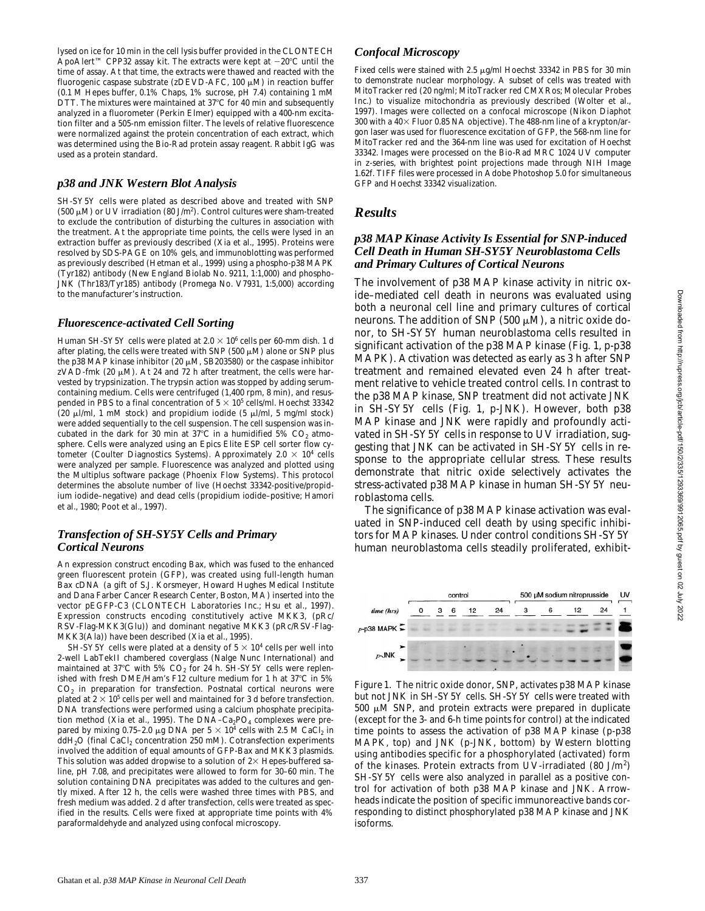lysed on ice for 10 min in the cell lysis buffer provided in the CLONTECH ApoAlert™ CPP32 assay kit. The extracts were kept at  $-20^{\circ}\text{C}$  until the time of assay. At that time, the extracts were thawed and reacted with the fluorogenic caspase substrate (zDEVD-AFC, 100  $\mu$ M) in reaction buffer (0.1 M Hepes buffer, 0.1% Chaps, 1% sucrose, pH 7.4) containing 1 mM DTT. The mixtures were maintained at  $37^{\circ}$ C for 40 min and subsequently analyzed in a fluorometer (Perkin Elmer) equipped with a 400-nm excitation filter and a 505-nm emission filter. The levels of relative fluorescence were normalized against the protein concentration of each extract, which was determined using the Bio-Rad protein assay reagent. Rabbit IgG was used as a protein standard.

## *p38 and JNK Western Blot Analysis*

SH-SY5Y cells were plated as described above and treated with SNP (500  $\mu$ M) or UV irradiation (80 J/m<sup>2</sup>). Control cultures were sham-treated to exclude the contribution of disturbing the cultures in association with the treatment. At the appropriate time points, the cells were lysed in an extraction buffer as previously described (Xia et al., 1995). Proteins were resolved by SDS-PAGE on 10% gels, and immunoblotting was performed as previously described (Hetman et al., 1999) using a phospho-p38 MAPK (Tyr182) antibody (New England Biolab No. 9211, 1:1,000) and phospho-JNK (Thr183/Tyr185) antibody (Promega No. V7931, 1:5,000) according to the manufacturer's instruction.

## *Fluorescence-activated Cell Sorting*

Human SH-SY5Y cells were plated at 2.0  $\times$  10 $^6$  cells per 60-mm dish. 1 d after plating, the cells were treated with SNP (500  $\mu$ M) alone or SNP plus the p38 MAP kinase inhibitor (20  $\mu$ M, SB203580) or the caspase inhibitor zVAD-fmk (20  $\mu$ M). At 24 and 72 h after treatment, the cells were harvested by trypsinization. The trypsin action was stopped by adding serumcontaining medium. Cells were centrifuged (1,400 rpm, 8 min), and resuspended in PBS to a final concentration of 5  $\times$  10<sup>5</sup> cells/ml. Hoechst 33342 (20  $\mu$ l/ml, 1 mM stock) and propidium iodide (5  $\mu$ l/ml, 5 mg/ml stock) were added sequentially to the cell suspension. The cell suspension was incubated in the dark for 30 min at 37°C in a humidified 5%  $CO<sub>2</sub>$  atmosphere. Cells were analyzed using an Epics Elite ESP cell sorter flow cytometer (Coulter Diagnostics Systems). Approximately 2.0  $\times$  10<sup>4</sup> cells were analyzed per sample. Fluorescence was analyzed and plotted using the Multiplus software package (Phoenix Flow Systems). This protocol determines the absolute number of live (Hoechst 33342-positive/propidium iodide–negative) and dead cells (propidium iodide–positive; Hamori et al., 1980; Poot et al., 1997).

## *Transfection of SH-SY5Y Cells and Primary Cortical Neurons*

An expression construct encoding Bax, which was fused to the enhanced green fluorescent protein (GFP), was created using full-length human Bax cDNA (a gift of S.J. Korsmeyer, Howard Hughes Medical Institute and Dana Farber Cancer Research Center, Boston, MA) inserted into the vector pEGFP-C3 (CLONTECH Laboratories Inc.; Hsu et al., 1997). Expression constructs encoding constitutively active MKK3, (pRc/ RSV-Flag-MKK3(Glu)) and dominant negative MKK3 (pRc/RSV-Flag-MKK3(Ala)) have been described (Xia et al., 1995).

SH-SY5Y cells were plated at a density of  $5 \times 10^4$  cells per well into 2-well LabTekII chambered coverglass (Nalge Nunc International) and maintained at  $37^{\circ}$ C with  $5\%$  CO<sub>2</sub> for 24 h. SH-SY5Y cells were replenished with fresh DME/Ham's F12 culture medium for 1 h at  $37^{\circ}$ C in 5%  $CO<sub>2</sub>$  in preparation for transfection. Postnatal cortical neurons were plated at  $2\times 10^5$  cells per well and maintained for 3 d before transfection. DNA transfections were performed using a calcium phosphate precipitation method (Xia et al., 1995). The DNA–Ca<sub>2</sub>PO<sub>4</sub> complexes were prepared by mixing 0.75–2.0  $\mu$ g DNA per 5  $\times$  10<sup>4</sup> cells with 2.5 M CaCl<sub>2</sub> in  $ddH_2O$  (final CaCl<sub>2</sub> concentration 250 mM). Cotransfection experiments involved the addition of equal amounts of GFP-Bax and MKK3 plasmids. This solution was added dropwise to a solution of  $2\times$  Hepes-buffered saline, pH 7.08, and precipitates were allowed to form for 30–60 min. The solution containing DNA precipitates was added to the cultures and gently mixed. After 12 h, the cells were washed three times with PBS, and fresh medium was added. 2 d after transfection, cells were treated as specified in the results. Cells were fixed at appropriate time points with 4% paraformaldehyde and analyzed using confocal microscopy.

#### *Confocal Microscopy*

Fixed cells were stained with 2.5  $\mu$ g/ml Hoechst 33342 in PBS for 30 min to demonstrate nuclear morphology. A subset of cells was treated with MitoTracker red (20 ng/ml; MitoTracker red CMXRos; Molecular Probes Inc.) to visualize mitochondria as previously described (Wolter et al., 1997). Images were collected on a confocal microscope (Nikon Diaphot 300 with a  $40\times$  Fluor 0.85 NA objective). The 488-nm line of a krypton/argon laser was used for fluorescence excitation of GFP, the 568-nm line for MitoTracker red and the 364-nm line was used for excitation of Hoechst 33342. Images were processed on the Bio-Rad MRC 1024 UV computer in z-series, with brightest point projections made through NIH Image 1.62f. TIFF files were processed in Adobe Photoshop 5.0 for simultaneous GFP and Hoechst 33342 visualization.

#### *Results*

#### *p38 MAP Kinase Activity Is Essential for SNP-induced Cell Death in Human SH-SY5Y Neuroblastoma Cells and Primary Cultures of Cortical Neurons*

The involvement of p38 MAP kinase activity in nitric oxide–mediated cell death in neurons was evaluated using both a neuronal cell line and primary cultures of cortical neurons. The addition of SNP (500  $\mu$ M), a nitric oxide donor, to SH-SY5Y human neuroblastoma cells resulted in significant activation of the p38 MAP kinase (Fig. 1, p-*p*38 MAPK). Activation was detected as early as 3 h after SNP treatment and remained elevated even 24 h after treatment relative to vehicle treated control cells. In contrast to the p38 MAP kinase, SNP treatment did not activate JNK in SH-SY5Y cells (Fig. 1, *p*-JNK). However, both *p*38 MAP kinase and JNK were rapidly and profoundly activated in SH-SY5Y cells in response to UV irradiation, suggesting that JNK can be activated in SH-SY5Y cells in response to the appropriate cellular stress. These results demonstrate that nitric oxide selectively activates the stress-activated p38 MAP kinase in human SH-SY5Y neuroblastoma cells.

The significance of p38 MAP kinase activation was evaluated in SNP-induced cell death by using specific inhibitors for MAP kinases. Under control conditions SH-SY5Y human neuroblastoma cells steadily proliferated, exhibit-



*Figure 1*. The nitric oxide donor, SNP, activates p38 MAP kinase but not JNK in SH-SY5Y cells. SH-SY5Y cells were treated with  $500 \mu M$  SNP, and protein extracts were prepared in duplicate (except for the 3- and 6-h time points for control) at the indicated time points to assess the activation of p38 MAP kinase (*p*-p38 MAPK, top) and JNK (*p*-JNK, bottom) by Western blotting using antibodies specific for a phosphorylated (activated) form of the kinases. Protein extracts from UV-irradiated (80 J/m<sup>2</sup>) SH-SY5Y cells were also analyzed in parallel as a positive control for activation of both p38 MAP kinase and JNK. Arrowheads indicate the position of specific immunoreactive bands corresponding to distinct phosphorylated p38 MAP kinase and JNK isoforms.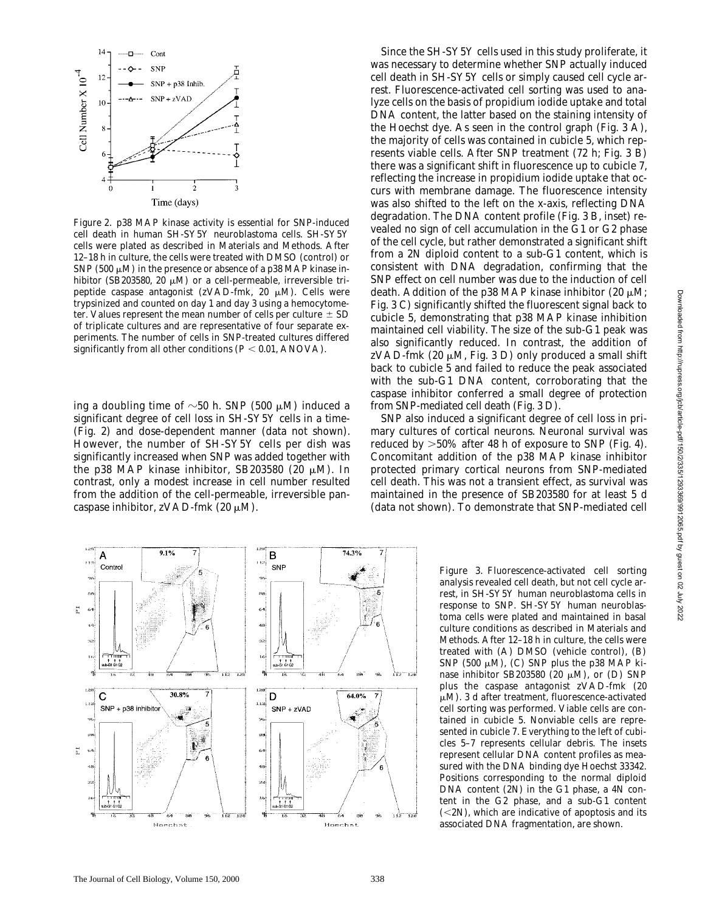Downloaded from http://rupress.org/jcb/article-pdf/150/2/335/1293369/9912065.pdf by guest on 02 July 2022

Downloaded from http://rupress.org/jcb/article-pdf/150/2/335/129369/9912065.pdf by guest on 02 July 2022



*Figure 2*. p38 MAP kinase activity is essential for SNP-induced cell death in human SH-SY5Y neuroblastoma cells. SH-SY5Y cells were plated as described in Materials and Methods. After 12–18 h in culture, the cells were treated with DMSO (control) or SNP (500  $\mu$ M) in the presence or absence of a p38 MAP kinase inhibitor (SB203580, 20  $\mu$ M) or a cell-permeable, irreversible tripeptide caspase antagonist (zVAD-fmk, 20  $\mu$ M). Cells were trypsinized and counted on day 1 and day 3 using a hemocytometer. Values represent the mean number of cells per culture  $\pm$  SD of triplicate cultures and are representative of four separate experiments. The number of cells in SNP-treated cultures differed significantly from all other conditions  $(P < 0.01, ANOVA)$ .

ing a doubling time of  $\sim$ 50 h. SNP (500  $\mu$ M) induced a significant degree of cell loss in SH-SY5Y cells in a time- (Fig. 2) and dose-dependent manner (data not shown). However, the number of SH-SY5Y cells per dish was significantly increased when SNP was added together with the p38 MAP kinase inhibitor, SB203580 (20  $\mu$ M). In contrast, only a modest increase in cell number resulted from the addition of the cell-permeable, irreversible pancaspase inhibitor, zVAD-fmk  $(20 \mu M)$ .

Since the SH-SY5Y cells used in this study proliferate, it was necessary to determine whether SNP actually induced cell death in SH-SY5Y cells or simply caused cell cycle arrest. Fluorescence-activated cell sorting was used to analyze cells on the basis of propidium iodide uptake and total DNA content, the latter based on the staining intensity of the Hoechst dye. As seen in the control graph (Fig. 3 A), the majority of cells was contained in cubicle 5, which represents viable cells. After SNP treatment (72 h; Fig. 3 B) there was a significant shift in fluorescence up to cubicle 7, reflecting the increase in propidium iodide uptake that occurs with membrane damage. The fluorescence intensity was also shifted to the left on the x-axis, reflecting DNA degradation. The DNA content profile (Fig. 3 B, inset) revealed no sign of cell accumulation in the G1 or G2 phase of the cell cycle, but rather demonstrated a significant shift from a 2N diploid content to a sub-G1 content, which is consistent with DNA degradation, confirming that the SNP effect on cell number was due to the induction of cell death. Addition of the p38 MAP kinase inhibitor (20  $\mu$ M; Fig. 3 C) significantly shifted the fluorescent signal back to cubicle 5, demonstrating that p38 MAP kinase inhibition maintained cell viability. The size of the sub-G1 peak was also significantly reduced. In contrast, the addition of zVAD-fmk (20  $\mu$ M, Fig. 3 D) only produced a small shift back to cubicle 5 and failed to reduce the peak associated with the sub-G1 DNA content, corroborating that the caspase inhibitor conferred a small degree of protection from SNP-mediated cell death (Fig. 3 D).

SNP also induced a significant degree of cell loss in primary cultures of cortical neurons. Neuronal survival was reduced by  $>50\%$  after 48 h of exposure to SNP (Fig. 4). Concomitant addition of the p38 MAP kinase inhibitor protected primary cortical neurons from SNP-mediated cell death. This was not a transient effect, as survival was maintained in the presence of SB203580 for at least 5 d (data not shown). To demonstrate that SNP-mediated cell



*Figure 3*. Fluorescence-activated cell sorting analysis revealed cell death, but not cell cycle arrest, in SH-SY5Y human neuroblastoma cells in response to SNP. SH-SY5Y human neuroblastoma cells were plated and maintained in basal culture conditions as described in Materials and Methods. After 12–18 h in culture, the cells were treated with (A) DMSO (vehicle control), (B) SNP (500  $\mu$ M), (C) SNP plus the p38 MAP kinase inhibitor SB203580 (20  $\mu$ M), or (D) SNP plus the caspase antagonist zVAD-fmk (20  $\mu$ M). 3 d after treatment, fluorescence-activated cell sorting was performed. Viable cells are contained in cubicle 5. Nonviable cells are represented in cubicle 7. Everything to the left of cubicles 5–7 represents cellular debris. The insets represent cellular DNA content profiles as measured with the DNA binding dye Hoechst 33342. Positions corresponding to the normal diploid DNA content (2N) in the G1 phase, a 4N content in the G2 phase, and a sub-G1 content  $(<2N$ ), which are indicative of apoptosis and its associated DNA fragmentation, are shown.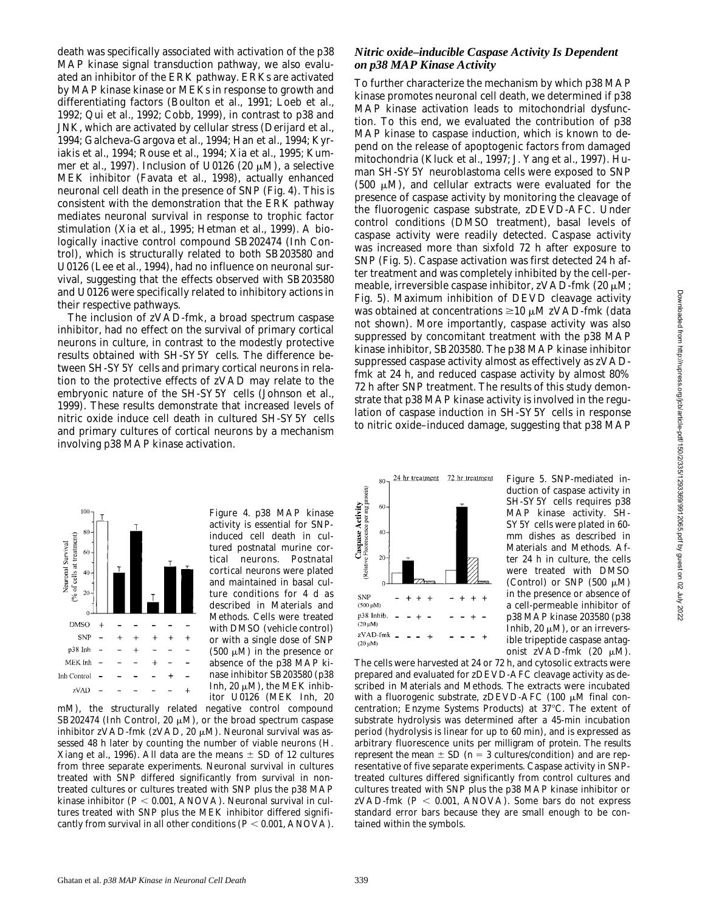death was specifically associated with activation of the p38 MAP kinase signal transduction pathway, we also evaluated an inhibitor of the ERK pathway. ERKs are activated by MAP kinase kinase or MEKs in response to growth and differentiating factors (Boulton et al., 1991; Loeb et al., 1992; Qui et al., 1992; Cobb, 1999), in contrast to p38 and JNK, which are activated by cellular stress (Derijard et al., 1994; Galcheva-Gargova et al., 1994; Han et al., 1994; Kyriakis et al., 1994; Rouse et al., 1994; Xia et al., 1995; Kummer et al., 1997). Inclusion of U0126 (20  $\mu$ M), a selective MEK inhibitor (Favata et al., 1998), actually enhanced neuronal cell death in the presence of SNP (Fig. 4). This is consistent with the demonstration that the ERK pathway mediates neuronal survival in response to trophic factor stimulation (Xia et al., 1995; Hetman et al., 1999). A biologically inactive control compound SB202474 (Inh Control), which is structurally related to both SB203580 and U0126 (Lee et al., 1994), had no influence on neuronal survival, suggesting that the effects observed with SB203580 and U0126 were specifically related to inhibitory actions in their respective pathways.

The inclusion of zVAD-fmk, a broad spectrum caspase inhibitor, had no effect on the survival of primary cortical neurons in culture, in contrast to the modestly protective results obtained with SH-SY5Y cells. The difference between SH-SY5Y cells and primary cortical neurons in relation to the protective effects of zVAD may relate to the embryonic nature of the SH-SY5Y cells (Johnson et al., 1999). These results demonstrate that increased levels of nitric oxide induce cell death in cultured SH-SY5Y cells and primary cultures of cortical neurons by a mechanism involving p38 MAP kinase activation.



mM), the structurally related negative control compound SB202474 (Inh Control, 20  $\mu$ M), or the broad spectrum caspase inhibitor zVAD-fmk (zVAD, 20  $\mu$ M). Neuronal survival was assessed 48 h later by counting the number of viable neurons (H. Xiang et al., 1996). All data are the means  $\pm$  SD of 12 cultures from three separate experiments. Neuronal survival in cultures treated with SNP differed significantly from survival in nontreated cultures or cultures treated with SNP plus the p38 MAP kinase inhibitor  $(P < 0.001, ANOVA)$ . Neuronal survival in cultures treated with SNP plus the MEK inhibitor differed significantly from survival in all other conditions  $(P < 0.001, ANOVA)$ .

#### *Nitric oxide–inducible Caspase Activity Is Dependent on p38 MAP Kinase Activity*

To further characterize the mechanism by which p38 MAP kinase promotes neuronal cell death, we determined if p38 MAP kinase activation leads to mitochondrial dysfunction. To this end, we evaluated the contribution of p38 MAP kinase to caspase induction, which is known to depend on the release of apoptogenic factors from damaged mitochondria (Kluck et al., 1997; J. Yang et al., 1997). Human SH-SY5Y neuroblastoma cells were exposed to SNP (500  $\mu$ M), and cellular extracts were evaluated for the presence of caspase activity by monitoring the cleavage of the fluorogenic caspase substrate, zDEVD-AFC. Under control conditions (DMSO treatment), basal levels of caspase activity were readily detected. Caspase activity was increased more than sixfold 72 h after exposure to SNP (Fig. 5). Caspase activation was first detected 24 h after treatment and was completely inhibited by the cell-permeable, irreversible caspase inhibitor,  $ZVAD-fmk$  (20  $\mu$ M; Fig. 5). Maximum inhibition of DEVD cleavage activity was obtained at concentrations  $\geq 10 \mu M$  zVAD-fmk (data not shown). More importantly, caspase activity was also suppressed by concomitant treatment with the p38 MAP kinase inhibitor, SB203580. The p38 MAP kinase inhibitor suppressed caspase activity almost as effectively as zVADfmk at 24 h, and reduced caspase activity by almost 80% 72 h after SNP treatment. The results of this study demonstrate that p38 MAP kinase activity is involved in the regulation of caspase induction in SH-SY5Y cells in response to nitric oxide–induced damage, suggesting that p38 MAP



*Figure 5*. SNP-mediated induction of caspase activity in SH-SY5Y cells requires p38 MAP kinase activity. SH-SY5Y cells were plated in 60 mm dishes as described in Materials and Methods. After 24 h in culture, the cells were treated with DMSO (Control) or SNP (500  $\mu$ M) in the presence or absence of a cell-permeable inhibitor of p38 MAP kinase 203580 (p38 Inhib, 20  $\mu$ M), or an irreversible tripeptide caspase antagonist zVAD-fmk  $(20 \mu M)$ .

The cells were harvested at 24 or 72 h, and cytosolic extracts were prepared and evaluated for zDEVD-AFC cleavage activity as described in Materials and Methods. The extracts were incubated with a fluorogenic substrate, zDEVD-AFC (100  $\mu$ M final concentration; Enzyme Systems Products) at 37°C. The extent of substrate hydrolysis was determined after a 45-min incubation period (hydrolysis is linear for up to 60 min), and is expressed as arbitrary fluorescence units per milligram of protein. The results represent the mean  $\pm$  SD ( $n=3$  cultures/condition) and are representative of five separate experiments. Caspase activity in SNPtreated cultures differed significantly from control cultures and cultures treated with SNP plus the p38 MAP kinase inhibitor or  $zVAD-fmk$  ( $P < 0.001$ , ANOVA). Some bars do not express standard error bars because they are small enough to be contained within the symbols.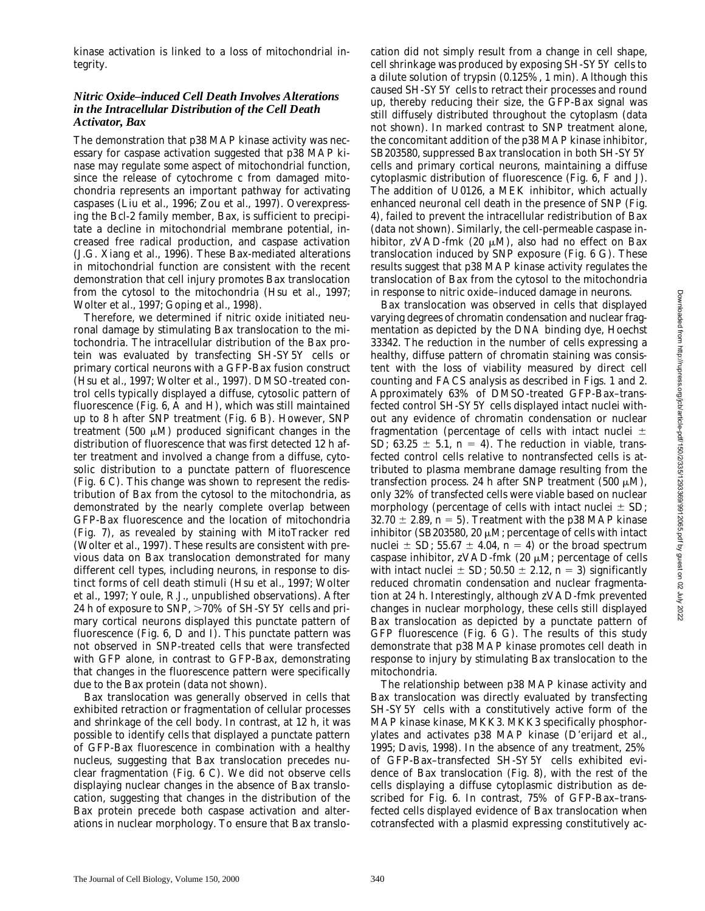kinase activation is linked to a loss of mitochondrial integrity.

#### *Nitric Oxide–induced Cell Death Involves Alterations in the Intracellular Distribution of the Cell Death Activator, Bax*

The demonstration that p38 MAP kinase activity was necessary for caspase activation suggested that p38 MAP kinase may regulate some aspect of mitochondrial function, since the release of cytochrome *c* from damaged mitochondria represents an important pathway for activating caspases (Liu et al., 1996; Zou et al., 1997). Overexpressing the Bcl-2 family member, Bax, is sufficient to precipitate a decline in mitochondrial membrane potential, increased free radical production, and caspase activation (J.G. Xiang et al., 1996). These Bax-mediated alterations in mitochondrial function are consistent with the recent demonstration that cell injury promotes Bax translocation from the cytosol to the mitochondria (Hsu et al., 1997; Wolter et al., 1997; Goping et al., 1998).

Therefore, we determined if nitric oxide initiated neuronal damage by stimulating Bax translocation to the mitochondria. The intracellular distribution of the Bax protein was evaluated by transfecting SH-SY5Y cells or primary cortical neurons with a GFP-Bax fusion construct (Hsu et al., 1997; Wolter et al., 1997). DMSO-treated control cells typically displayed a diffuse, cytosolic pattern of fluorescence (Fig. 6, A and H), which was still maintained up to 8 h after SNP treatment (Fig. 6 B). However, SNP treatment (500  $\mu$ M) produced significant changes in the distribution of fluorescence that was first detected 12 h after treatment and involved a change from a diffuse, cytosolic distribution to a punctate pattern of fluorescence (Fig. 6 C). This change was shown to represent the redistribution of Bax from the cytosol to the mitochondria, as demonstrated by the nearly complete overlap between GFP-Bax fluorescence and the location of mitochondria (Fig. 7), as revealed by staining with MitoTracker red (Wolter et al., 1997). These results are consistent with previous data on Bax translocation demonstrated for many different cell types, including neurons, in response to distinct forms of cell death stimuli (Hsu et al., 1997; Wolter et al., 1997; Youle, R.J., unpublished observations). After 24 h of exposure to SNP,  $>70\%$  of SH-SY5Y cells and primary cortical neurons displayed this punctate pattern of fluorescence (Fig. 6, D and I). This punctate pattern was not observed in SNP-treated cells that were transfected with GFP alone, in contrast to GFP-Bax, demonstrating that changes in the fluorescence pattern were specifically due to the Bax protein (data not shown).

Bax translocation was generally observed in cells that exhibited retraction or fragmentation of cellular processes and shrinkage of the cell body. In contrast, at 12 h, it was possible to identify cells that displayed a punctate pattern of GFP-Bax fluorescence in combination with a healthy nucleus, suggesting that Bax translocation precedes nuclear fragmentation (Fig. 6 C). We did not observe cells displaying nuclear changes in the absence of Bax translocation, suggesting that changes in the distribution of the Bax protein precede both caspase activation and alterations in nuclear morphology. To ensure that Bax translocation did not simply result from a change in cell shape, cell shrinkage was produced by exposing SH-SY5Y cells to a dilute solution of trypsin (0.125%, 1 min). Although this caused SH-SY5Y cells to retract their processes and round up, thereby reducing their size, the GFP-Bax signal was still diffusely distributed throughout the cytoplasm (data not shown). In marked contrast to SNP treatment alone, the concomitant addition of the p38 MAP kinase inhibitor, SB203580, suppressed Bax translocation in both SH-SY5Y cells and primary cortical neurons, maintaining a diffuse cytoplasmic distribution of fluorescence (Fig. 6, F and J). The addition of U0126, a MEK inhibitor, which actually enhanced neuronal cell death in the presence of SNP (Fig. 4), failed to prevent the intracellular redistribution of Bax (data not shown). Similarly, the cell-permeable caspase inhibitor, zVAD-fmk (20  $\mu$ M), also had no effect on Bax translocation induced by SNP exposure (Fig. 6 G). These results suggest that p38 MAP kinase activity regulates the translocation of Bax from the cytosol to the mitochondria in response to nitric oxide–induced damage in neurons.

Bax translocation was observed in cells that displayed varying degrees of chromatin condensation and nuclear fragmentation as depicted by the DNA binding dye, Hoechst 33342. The reduction in the number of cells expressing a healthy, diffuse pattern of chromatin staining was consistent with the loss of viability measured by direct cell counting and FACS analysis as described in Figs. 1 and 2. Approximately 63% of DMSO-treated GFP-Bax–transfected control SH-SY5Y cells displayed intact nuclei without any evidence of chromatin condensation or nuclear fragmentation (percentage of cells with intact nuclei  $\pm$ SD;  $63.25 \pm 5.1$ ,  $n = 4$ ). The reduction in viable, transfected control cells relative to nontransfected cells is attributed to plasma membrane damage resulting from the transfection process. 24 h after SNP treatment (500  $\mu$ M), only 32% of transfected cells were viable based on nuclear morphology (percentage of cells with intact nuclei  $\pm$  SD; 32.70  $\pm$  2.89, *n* = 5). Treatment with the p38 MAP kinase inhibitor (SB203580, 20  $\mu$ M; percentage of cells with intact nuclei  $\pm$  SD; 55.67  $\pm$  4.04, *n* = 4) or the broad spectrum caspase inhibitor,  $zVAD-fmk$  (20  $\mu$ M; percentage of cells with intact nuclei  $\pm$  SD; 50.50  $\pm$  2.12, *n* = 3) significantly reduced chromatin condensation and nuclear fragmentation at 24 h. Interestingly, although zVAD-fmk prevented changes in nuclear morphology, these cells still displayed Bax translocation as depicted by a punctate pattern of GFP fluorescence (Fig. 6 G). The results of this study demonstrate that p38 MAP kinase promotes cell death in response to injury by stimulating Bax translocation to the mitochondria.

The relationship between p38 MAP kinase activity and Bax translocation was directly evaluated by transfecting SH-SY5Y cells with a constitutively active form of the MAP kinase kinase, MKK3. MKK3 specifically phosphorylates and activates p38 MAP kinase (D'erijard et al., 1995; Davis, 1998). In the absence of any treatment, 25% of GFP-Bax–transfected SH-SY5Y cells exhibited evidence of Bax translocation (Fig. 8), with the rest of the cells displaying a diffuse cytoplasmic distribution as described for Fig. 6. In contrast, 75% of GFP-Bax–transfected cells displayed evidence of Bax translocation when cotransfected with a plasmid expressing constitutively ac-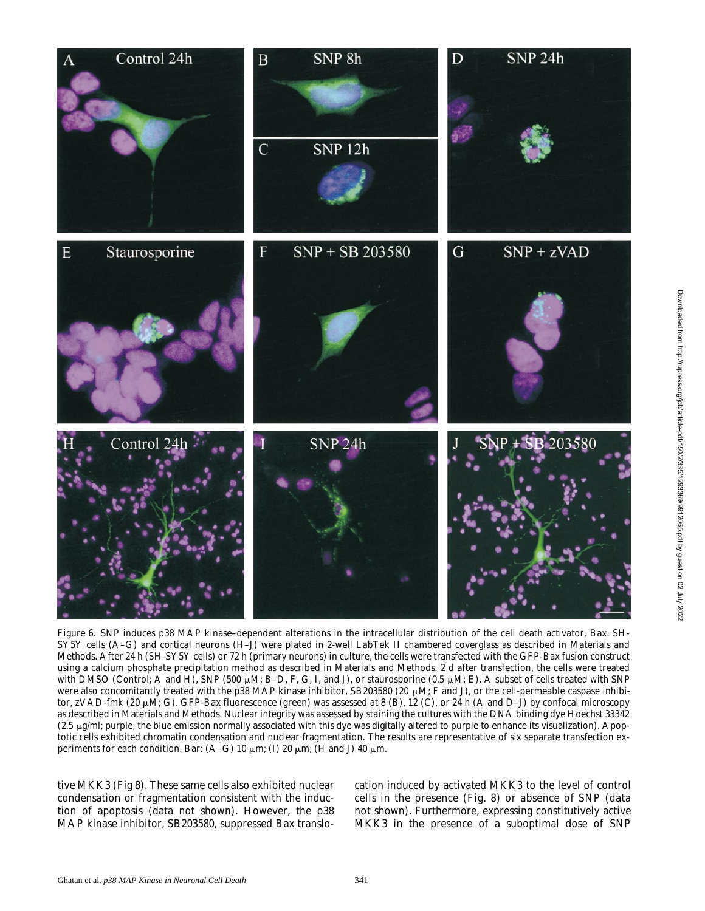

*Figure 6*. SNP induces p38 MAP kinase–dependent alterations in the intracellular distribution of the cell death activator, Bax. SH-SY5Y cells (A–G) and cortical neurons (H–J) were plated in 2-well LabTek II chambered coverglass as described in Materials and Methods. After 24 h (SH-SY5Y cells) or 72 h (primary neurons) in culture, the cells were transfected with the GFP-Bax fusion construct using a calcium phosphate precipitation method as described in Materials and Methods. 2 d after transfection, the cells were treated with DMSO (Control; A and H), SNP (500  $\mu$ M; B–D, F, G, I, and J), or staurosporine (0.5  $\mu$ M; E). A subset of cells treated with SNP were also concomitantly treated with the p38 MAP kinase inhibitor, SB203580 (20  $\mu$ M; F and J), or the cell-permeable caspase inhibitor, zVAD-fmk (20  $\mu$ M; G). GFP-Bax fluorescence (green) was assessed at 8 (B), 12 (C), or 24 h (A and D–J) by confocal microscopy as described in Materials and Methods. Nuclear integrity was assessed by staining the cultures with the DNA binding dye Hoechst 33342  $(2.5 \mu g/m!)$ ; purple, the blue emission normally associated with this dye was digitally altered to purple to enhance its visualization). Apoptotic cells exhibited chromatin condensation and nuclear fragmentation. The results are representative of six separate transfection experiments for each condition. Bar: (A–G) 10  $\mu$ m; (I) 20  $\mu$ m; (H and J) 40  $\mu$ m.

tive MKK3 (Fig 8). These same cells also exhibited nuclear condensation or fragmentation consistent with the induction of apoptosis (data not shown). However, the p38 MAP kinase inhibitor, SB203580, suppressed Bax translocation induced by activated MKK3 to the level of control cells in the presence (Fig. 8) or absence of SNP (data not shown). Furthermore, expressing constitutively active MKK3 in the presence of a suboptimal dose of SNP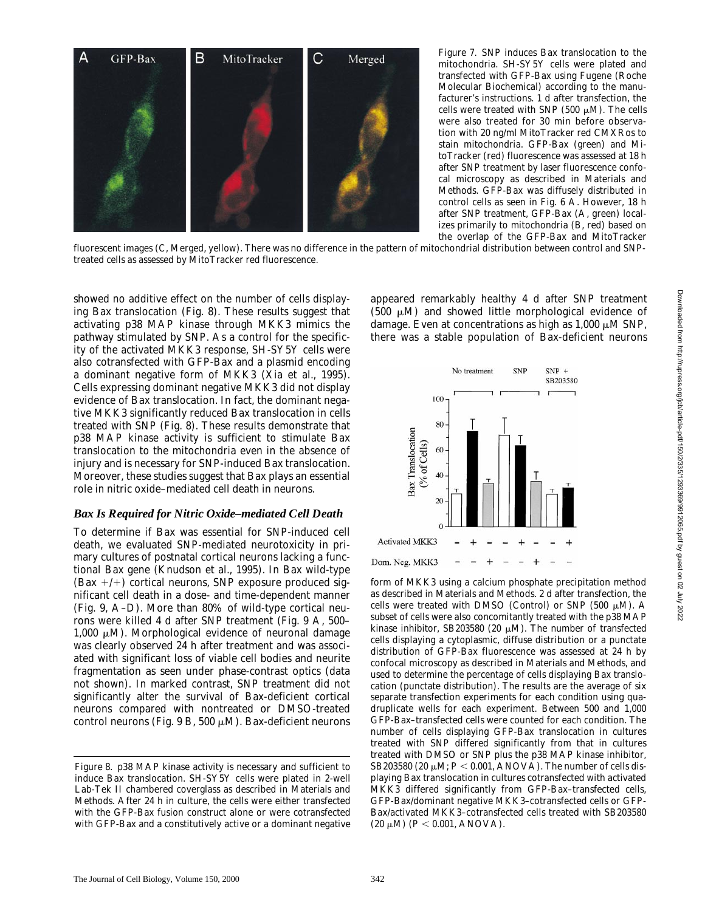

*Figure 7*. SNP induces Bax translocation to the mitochondria. SH-SY5Y cells were plated and transfected with GFP-Bax using Fugene (Roche Molecular Biochemical) according to the manufacturer's instructions. 1 d after transfection, the cells were treated with SNP (500  $\mu$ M). The cells were also treated for 30 min before observation with 20 ng/ml MitoTracker red CMXRos to stain mitochondria. GFP-Bax (green) and MitoTracker (red) fluorescence was assessed at 18 h after SNP treatment by laser fluorescence confocal microscopy as described in Materials and Methods. GFP-Bax was diffusely distributed in control cells as seen in Fig. 6 A. However, 18 h after SNP treatment, GFP-Bax (A, green) localizes primarily to mitochondria (B, red) based on the overlap of the GFP-Bax and MitoTracker

fluorescent images (C, Merged, yellow). There was no difference in the pattern of mitochondrial distribution between control and SNPtreated cells as assessed by MitoTracker red fluorescence.

showed no additive effect on the number of cells displaying Bax translocation (Fig. 8). These results suggest that activating p38 MAP kinase through MKK3 mimics the pathway stimulated by SNP. As a control for the specificity of the activated MKK3 response, SH-SY5Y cells were also cotransfected with GFP-Bax and a plasmid encoding a dominant negative form of MKK3 (Xia et al., 1995). Cells expressing dominant negative MKK3 did not display evidence of Bax translocation. In fact, the dominant negative MKK3 significantly reduced Bax translocation in cells treated with SNP (Fig. 8). These results demonstrate that p38 MAP kinase activity is sufficient to stimulate Bax translocation to the mitochondria even in the absence of injury and is necessary for SNP-induced Bax translocation. Moreover, these studies suggest that Bax plays an essential role in nitric oxide–mediated cell death in neurons.

#### *Bax Is Required for Nitric Oxide–mediated Cell Death*

To determine if Bax was essential for SNP-induced cell death, we evaluated SNP-mediated neurotoxicity in primary cultures of postnatal cortical neurons lacking a functional Bax gene (Knudson et al., 1995). In Bax wild-type (Bax  $+/+)$  cortical neurons, SNP exposure produced significant cell death in a dose- and time-dependent manner (Fig. 9, A–D). More than 80% of wild-type cortical neurons were killed 4 d after SNP treatment (Fig. 9 A, 500– 1,000  $\mu$ M). Morphological evidence of neuronal damage was clearly observed 24 h after treatment and was associated with significant loss of viable cell bodies and neurite fragmentation as seen under phase-contrast optics (data not shown). In marked contrast, SNP treatment did not significantly alter the survival of Bax-deficient cortical neurons compared with nontreated or DMSO-treated control neurons (Fig. 9 B, 500  $\mu$ M). Bax-deficient neurons

appeared remarkably healthy 4 d after SNP treatment  $(500 \mu M)$  and showed little morphological evidence of damage. Even at concentrations as high as  $1,000 \mu M$  SNP, there was a stable population of Bax-deficient neurons



form of MKK3 using a calcium phosphate precipitation method as described in Materials and Methods. 2 d after transfection, the cells were treated with DMSO (Control) or SNP (500  $\mu$ M). A subset of cells were also concomitantly treated with the p38 MAP kinase inhibitor, SB203580 (20  $\mu$ M). The number of transfected cells displaying a cytoplasmic, diffuse distribution or a punctate distribution of GFP-Bax fluorescence was assessed at 24 h by confocal microscopy as described in Materials and Methods, and used to determine the percentage of cells displaying Bax translocation (punctate distribution). The results are the average of six separate transfection experiments for each condition using quadruplicate wells for each experiment. Between 500 and 1,000 GFP-Bax–transfected cells were counted for each condition. The number of cells displaying GFP-Bax translocation in cultures treated with SNP differed significantly from that in cultures treated with DMSO or SNP plus the p38 MAP kinase inhibitor, SB203580 (20  $\mu$ M;  $P < 0.001$ , ANOVA). The number of cells displaying Bax translocation in cultures cotransfected with activated MKK3 differed significantly from GFP-Bax–transfected cells, GFP-Bax/dominant negative MKK3–cotransfected cells or GFP-Bax/activated MKK3–cotransfected cells treated with SB203580  $(20 \mu M)$   $(P < 0.001$ , ANOVA).

*Figure 8*. p38 MAP kinase activity is necessary and sufficient to induce Bax translocation. SH-SY5Y cells were plated in 2-well Lab-Tek II chambered coverglass as described in Materials and Methods. After 24 h in culture, the cells were either transfected with the GFP-Bax fusion construct alone or were cotransfected with GFP-Bax and a constitutively active or a dominant negative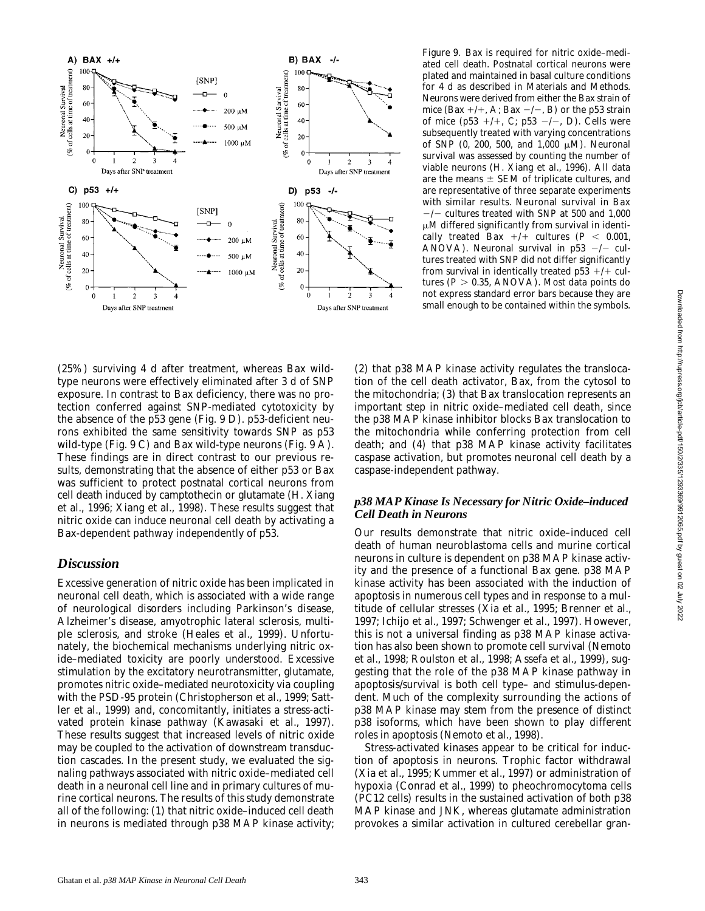

(25%) surviving 4 d after treatment, whereas Bax wildtype neurons were effectively eliminated after 3 d of SNP exposure. In contrast to Bax deficiency, there was no protection conferred against SNP-mediated cytotoxicity by the absence of the p53 gene (Fig. 9 D). p53-deficient neurons exhibited the same sensitivity towards SNP as p53 wild-type (Fig. 9 C) and Bax wild-type neurons (Fig. 9 A). These findings are in direct contrast to our previous results, demonstrating that the absence of either p53 or Bax was sufficient to protect postnatal cortical neurons from cell death induced by camptothecin or glutamate (H. Xiang et al., 1996; Xiang et al., 1998). These results suggest that nitric oxide can induce neuronal cell death by activating a Bax-dependent pathway independently of p53.

## *Discussion*

Excessive generation of nitric oxide has been implicated in neuronal cell death, which is associated with a wide range of neurological disorders including Parkinson's disease, Alzheimer's disease, amyotrophic lateral sclerosis, multiple sclerosis, and stroke (Heales et al., 1999). Unfortunately, the biochemical mechanisms underlying nitric oxide–mediated toxicity are poorly understood. Excessive stimulation by the excitatory neurotransmitter, glutamate, promotes nitric oxide–mediated neurotoxicity via coupling with the PSD-95 protein (Christopherson et al., 1999; Sattler et al., 1999) and, concomitantly, initiates a stress-activated protein kinase pathway (Kawasaki et al., 1997). These results suggest that increased levels of nitric oxide may be coupled to the activation of downstream transduction cascades. In the present study, we evaluated the signaling pathways associated with nitric oxide–mediated cell death in a neuronal cell line and in primary cultures of murine cortical neurons. The results of this study demonstrate all of the following: (1) that nitric oxide–induced cell death in neurons is mediated through p38 MAP kinase activity; *Figure 9*. Bax is required for nitric oxide–mediated cell death. Postnatal cortical neurons were plated and maintained in basal culture conditions for 4 d as described in Materials and Methods. Neurons were derived from either the Bax strain of mice (Bax  $+/+$ , A; Bax  $-/-$ , B) or the p53 strain of mice (p53  $+/+$ , C; p53  $-/-$ , D). Cells were subsequently treated with varying concentrations of SNP (0, 200, 500, and 1,000  $\mu$ M). Neuronal survival was assessed by counting the number of viable neurons (H. Xiang et al., 1996). All data are the means  $\pm$  SEM of triplicate cultures, and are representative of three separate experiments with similar results. Neuronal survival in Bax  $-/-$  cultures treated with SNP at 500 and 1,000  $\mu$ M differed significantly from survival in identically treated Bax  $+/+$  cultures ( $P < 0.001$ , ANOVA). Neuronal survival in  $p53$  -/- cultures treated with SNP did not differ significantly from survival in identically treated  $p53$  +/+ cultures  $(P > 0.35, ANOVA)$ . Most data points do not express standard error bars because they are small enough to be contained within the symbols.

(2) that p38 MAP kinase activity regulates the translocation of the cell death activator, Bax, from the cytosol to the mitochondria; (3) that Bax translocation represents an important step in nitric oxide–mediated cell death, since the p38 MAP kinase inhibitor blocks Bax translocation to the mitochondria while conferring protection from cell death; and (4) that p38 MAP kinase activity facilitates caspase activation, but promotes neuronal cell death by a caspase-independent pathway.

#### *p38 MAP Kinase Is Necessary for Nitric Oxide–induced Cell Death in Neurons*

Our results demonstrate that nitric oxide–induced cell death of human neuroblastoma cells and murine cortical neurons in culture is dependent on p38 MAP kinase activity and the presence of a functional Bax gene. p38 MAP kinase activity has been associated with the induction of apoptosis in numerous cell types and in response to a multitude of cellular stresses (Xia et al., 1995; Brenner et al., 1997; Ichijo et al., 1997; Schwenger et al., 1997). However, this is not a universal finding as p38 MAP kinase activation has also been shown to promote cell survival (Nemoto et al., 1998; Roulston et al., 1998; Assefa et al., 1999), suggesting that the role of the p38 MAP kinase pathway in apoptosis/survival is both cell type– and stimulus-dependent. Much of the complexity surrounding the actions of p38 MAP kinase may stem from the presence of distinct p38 isoforms, which have been shown to play different roles in apoptosis (Nemoto et al., 1998).

Stress-activated kinases appear to be critical for induction of apoptosis in neurons. Trophic factor withdrawal (Xia et al., 1995; Kummer et al., 1997) or administration of hypoxia (Conrad et al., 1999) to pheochromocytoma cells (PC12 cells) results in the sustained activation of both p38 MAP kinase and JNK, whereas glutamate administration provokes a similar activation in cultured cerebellar gran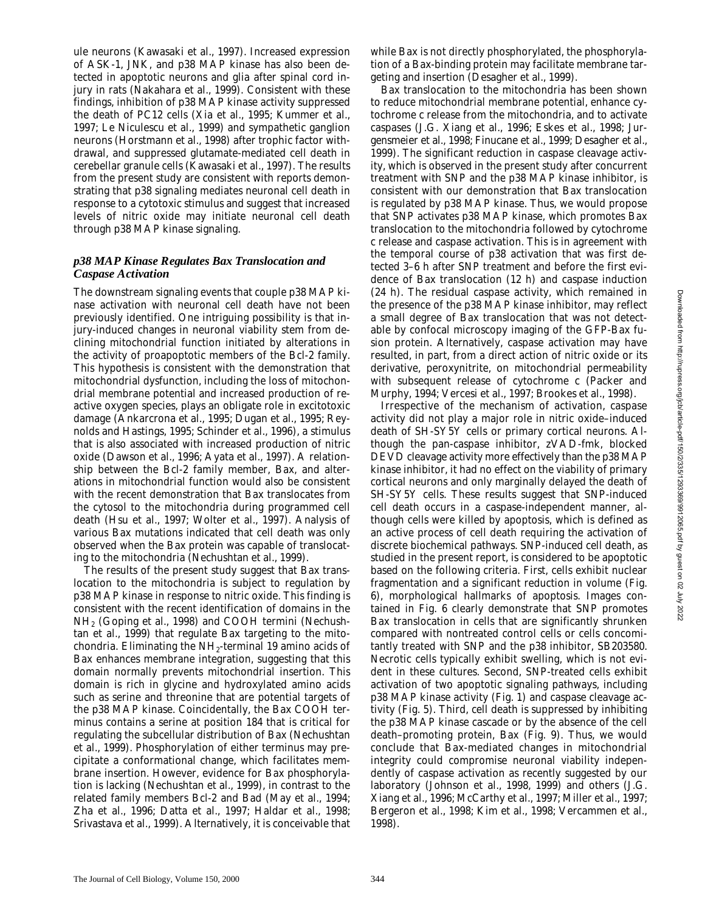ule neurons (Kawasaki et al., 1997). Increased expression of ASK-1, JNK, and p38 MAP kinase has also been detected in apoptotic neurons and glia after spinal cord injury in rats (Nakahara et al., 1999). Consistent with these findings, inhibition of p38 MAP kinase activity suppressed the death of PC12 cells (Xia et al., 1995; Kummer et al., 1997; Le Niculescu et al., 1999) and sympathetic ganglion neurons (Horstmann et al., 1998) after trophic factor withdrawal, and suppressed glutamate-mediated cell death in cerebellar granule cells (Kawasaki et al., 1997). The results from the present study are consistent with reports demonstrating that p38 signaling mediates neuronal cell death in response to a cytotoxic stimulus and suggest that increased levels of nitric oxide may initiate neuronal cell death through p38 MAP kinase signaling.

#### *p38 MAP Kinase Regulates Bax Translocation and Caspase Activation*

The downstream signaling events that couple p38 MAP kinase activation with neuronal cell death have not been previously identified. One intriguing possibility is that injury-induced changes in neuronal viability stem from declining mitochondrial function initiated by alterations in the activity of proapoptotic members of the Bcl-2 family. This hypothesis is consistent with the demonstration that mitochondrial dysfunction, including the loss of mitochondrial membrane potential and increased production of reactive oxygen species, plays an obligate role in excitotoxic damage (Ankarcrona et al., 1995; Dugan et al., 1995; Reynolds and Hastings, 1995; Schinder et al., 1996), a stimulus that is also associated with increased production of nitric oxide (Dawson et al., 1996; Ayata et al., 1997). A relationship between the Bcl-2 family member, Bax, and alterations in mitochondrial function would also be consistent with the recent demonstration that Bax translocates from the cytosol to the mitochondria during programmed cell death (Hsu et al., 1997; Wolter et al., 1997). Analysis of various Bax mutations indicated that cell death was only observed when the Bax protein was capable of translocating to the mitochondria (Nechushtan et al., 1999).

The results of the present study suggest that Bax translocation to the mitochondria is subject to regulation by p38 MAP kinase in response to nitric oxide. This finding is consistent with the recent identification of domains in the NH2 (Goping et al., 1998) and COOH termini (Nechushtan et al., 1999) that regulate Bax targeting to the mitochondria. Eliminating the  $NH<sub>2</sub>$ -terminal 19 amino acids of Bax enhances membrane integration, suggesting that this domain normally prevents mitochondrial insertion. This domain is rich in glycine and hydroxylated amino acids such as serine and threonine that are potential targets of the p38 MAP kinase. Coincidentally, the Bax COOH terminus contains a serine at position 184 that is critical for regulating the subcellular distribution of Bax (Nechushtan et al., 1999). Phosphorylation of either terminus may precipitate a conformational change, which facilitates membrane insertion. However, evidence for Bax phosphorylation is lacking (Nechushtan et al., 1999), in contrast to the related family members Bcl-2 and Bad (May et al., 1994; Zha et al., 1996; Datta et al., 1997; Haldar et al., 1998; Srivastava et al., 1999). Alternatively, it is conceivable that while Bax is not directly phosphorylated, the phosphorylation of a Bax-binding protein may facilitate membrane targeting and insertion (Desagher et al., 1999).

Bax translocation to the mitochondria has been shown to reduce mitochondrial membrane potential, enhance cytochrome *c* release from the mitochondria, and to activate caspases (J.G. Xiang et al., 1996; Eskes et al., 1998; Jurgensmeier et al., 1998; Finucane et al., 1999; Desagher et al., 1999). The significant reduction in caspase cleavage activity, which is observed in the present study after concurrent treatment with SNP and the p38 MAP kinase inhibitor, is consistent with our demonstration that Bax translocation is regulated by p38 MAP kinase. Thus, we would propose that SNP activates p38 MAP kinase, which promotes Bax translocation to the mitochondria followed by cytochrome *c* release and caspase activation. This is in agreement with the temporal course of p38 activation that was first detected 3–6 h after SNP treatment and before the first evidence of Bax translocation (12 h) and caspase induction (24 h). The residual caspase activity, which remained in the presence of the p38 MAP kinase inhibitor, may reflect a small degree of Bax translocation that was not detectable by confocal microscopy imaging of the GFP-Bax fusion protein. Alternatively, caspase activation may have resulted, in part, from a direct action of nitric oxide or its derivative, peroxynitrite, on mitochondrial permeability with subsequent release of cytochrome *c* (Packer and Murphy, 1994; Vercesi et al., 1997; Brookes et al., 1998).

Irrespective of the mechanism of activation, caspase activity did not play a major role in nitric oxide–induced death of SH-SY5Y cells or primary cortical neurons. Although the pan-caspase inhibitor, zVAD-fmk, blocked DEVD cleavage activity more effectively than the p38 MAP kinase inhibitor, it had no effect on the viability of primary cortical neurons and only marginally delayed the death of SH-SY5Y cells. These results suggest that SNP-induced cell death occurs in a caspase-independent manner, although cells were killed by apoptosis, which is defined as an active process of cell death requiring the activation of discrete biochemical pathways. SNP-induced cell death, as studied in the present report, is considered to be apoptotic based on the following criteria. First, cells exhibit nuclear fragmentation and a significant reduction in volume (Fig. 6), morphological hallmarks of apoptosis. Images contained in Fig. 6 clearly demonstrate that SNP promotes Bax translocation in cells that are significantly shrunken compared with nontreated control cells or cells concomitantly treated with SNP and the p38 inhibitor, SB203580. Necrotic cells typically exhibit swelling, which is not evident in these cultures. Second, SNP-treated cells exhibit activation of two apoptotic signaling pathways, including p38 MAP kinase activity (Fig. 1) and caspase cleavage activity (Fig. 5). Third, cell death is suppressed by inhibiting the p38 MAP kinase cascade or by the absence of the cell death–promoting protein, Bax (Fig. 9). Thus, we would conclude that Bax-mediated changes in mitochondrial integrity could compromise neuronal viability independently of caspase activation as recently suggested by our laboratory (Johnson et al., 1998, 1999) and others (J.G. Xiang et al., 1996; McCarthy et al., 1997; Miller et al., 1997; Bergeron et al., 1998; Kim et al., 1998; Vercammen et al., 1998).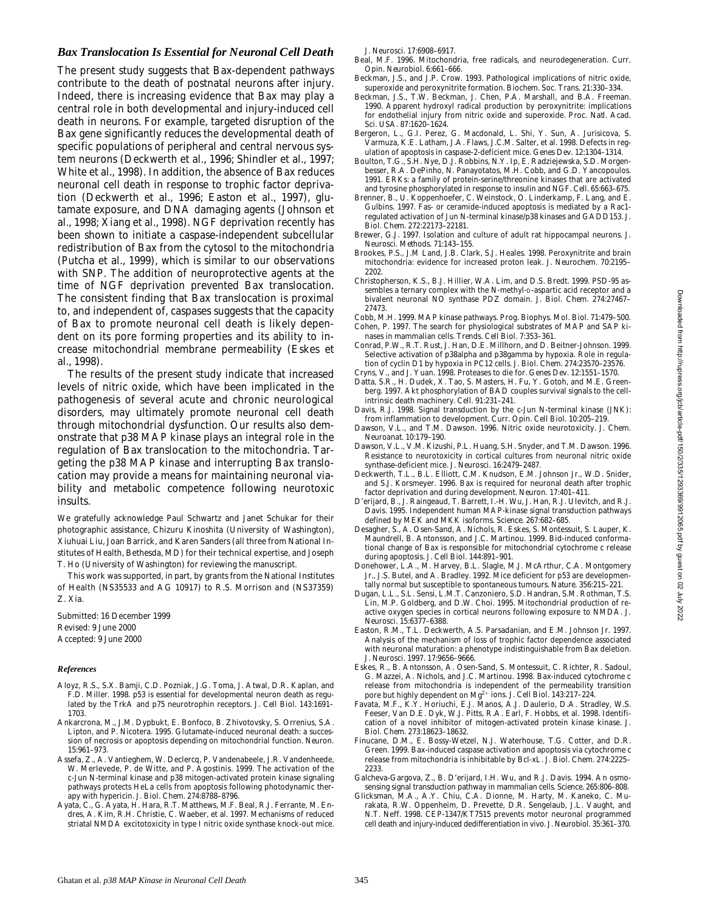#### *Bax Translocation Is Essential for Neuronal Cell Death*

The present study suggests that Bax-dependent pathways contribute to the death of postnatal neurons after injury. Indeed, there is increasing evidence that Bax may play a central role in both developmental and injury-induced cell death in neurons. For example, targeted disruption of the Bax gene significantly reduces the developmental death of specific populations of peripheral and central nervous system neurons (Deckwerth et al., 1996; Shindler et al., 1997; White et al., 1998). In addition, the absence of Bax reduces neuronal cell death in response to trophic factor deprivation (Deckwerth et al., 1996; Easton et al., 1997), glutamate exposure, and DNA damaging agents (Johnson et al., 1998; Xiang et al., 1998). NGF deprivation recently has been shown to initiate a caspase-independent subcellular redistribution of Bax from the cytosol to the mitochondria (Putcha et al., 1999), which is similar to our observations with SNP. The addition of neuroprotective agents at the time of NGF deprivation prevented Bax translocation. The consistent finding that Bax translocation is proximal to, and independent of, caspases suggests that the capacity of Bax to promote neuronal cell death is likely dependent on its pore forming properties and its ability to increase mitochondrial membrane permeability (Eskes et al., 1998).

The results of the present study indicate that increased levels of nitric oxide, which have been implicated in the pathogenesis of several acute and chronic neurological disorders, may ultimately promote neuronal cell death through mitochondrial dysfunction. Our results also demonstrate that p38 MAP kinase plays an integral role in the regulation of Bax translocation to the mitochondria. Targeting the p38 MAP kinase and interrupting Bax translocation may provide a means for maintaining neuronal viability and metabolic competence following neurotoxic insults.

We gratefully acknowledge Paul Schwartz and Janet Schukar for their photographic assistance, Chizuru Kinoshita (University of Washington), Xiuhuai Liu, Joan Barrick, and Karen Sanders (all three from National Institutes of Health, Bethesda, MD) for their technical expertise, and Joseph T. Ho (University of Washington) for reviewing the manuscript.

This work was supported, in part, by grants from the National Institutes of Health (NS35533 and AG 10917) to R.S. Morrison and (NS37359) Z. Xia.

Submitted: 16 December 1999 Revised: 9 June 2000 Accepted: 9 June 2000

#### *References*

- Aloyz, R.S., S.X. Bamji, C.D. Pozniak, J.G. Toma, J. Atwal, D.R. Kaplan, and F.D. Miller. 1998. p53 is essential for developmental neuron death as regulated by the TrkA and p75 neurotrophin receptors. *J. Cell Biol.* 143:1691– 1703.
- Ankarcrona, M., J.M. Dypbukt, E. Bonfoco, B. Zhivotovsky, S. Orrenius, S.A. Lipton, and P. Nicotera. 1995. Glutamate-induced neuronal death: a succession of necrosis or apoptosis depending on mitochondrial function. *Neuron.* 15:961–973.
- Assefa, Z., A. Vantieghem, W. Declercq, P. Vandenabeele, J.R. Vandenheede, W. Merlevede, P. de Witte, and P. Agostinis. 1999. The activation of the c-Jun N-terminal kinase and p38 mitogen-activated protein kinase signaling pathways protects HeLa cells from apoptosis following photodynamic therapy with hypericin. *J. Biol. Chem.* 274:8788–8796.
- Ayata, C., G. Ayata, H. Hara, R.T. Matthews, M.F. Beal, R.J. Ferrante, M. Endres, A. Kim, R.H. Christie, C. Waeber, et al. 1997. Mechanisms of reduced striatal NMDA excitotoxicity in type I nitric oxide synthase knock-out mice.

*J. Neurosci.* 17:6908–6917.

- Beal, M.F. 1996. Mitochondria, free radicals, and neurodegeneration. *Curr. Opin. Neurobiol.* 6:661–666.
- Beckman, J.S., and J.P. Crow. 1993. Pathological implications of nitric oxide, superoxide and peroxynitrite formation. *Biochem. Soc. Trans.* 21:330–334.
- Beckman, J.S., T.W. Beckman, J. Chen, P.A. Marshall, and B.A. Freeman. 1990. Apparent hydroxyl radical production by peroxynitrite: implications for endothelial injury from nitric oxide and superoxide. *Proc. Natl. Acad. Sci. USA.* 87:1620–1624.
- Bergeron, L., G.I. Perez, G. Macdonald, L. Shi, Y. Sun, A. Jurisicova, S. Varmuza, K.E. Latham, J.A. Flaws, J.C.M. Salter, et al. 1998. Defects in regulation of apoptosis in caspase-2-deficient mice. *Genes Dev.* 12:1304–1314.
- Boulton, T.G., S.H. Nye, D.J. Robbins, N.Y. Ip, E. Radziejewska, S.D. Morgenbesser, R.A. DePinho, N. Panayotatos, M.H. Cobb, and G.D. Yancopoulos. 1991. ERKs: a family of protein-serine/threonine kinases that are activated and tyrosine phosphorylated in response to insulin and NGF. *Cell.* 65:663–675.
- Brenner, B., U. Koppenhoefer, C. Weinstock, O. Linderkamp, F. Lang, and E. Gulbins. 1997. Fas- or ceramide-induced apoptosis is mediated by a Rac1 regulated activation of Jun N-terminal kinase/p38 kinases and GADD153. *J. Biol. Chem.* 272:22173–22181.
- Brewer, G.J. 1997. Isolation and culture of adult rat hippocampal neurons. *J. Neurosci. Methods.* 71:143–155.
- Brookes, P.S., J.M Land, J.B. Clark, S.J. Heales. 1998. Peroxynitrite and brain mitochondria: evidence for increased proton leak. *J. Neurochem.* 70:2195– 2202.
- Christopherson, K.S., B.J. Hillier, W.A. Lim, and D.S. Bredt. 1999. PSD-95 assembles a ternary complex with the N-methyl-D-aspartic acid receptor and a bivalent neuronal NO synthase PDZ domain. *J. Biol. Chem.* 274:27467– 27473.
- Cobb, M.H. 1999. MAP kinase pathways. *Prog. Biophys. Mol. Biol.* 71:479–500. Cohen, P. 1997. The search for physiological substrates of MAP and SAP kinases in mammalian cells. *Trends. Cell Biol*. 7:353–361.
- Conrad, P.W., R.T. Rust, J. Han, D.E. Millhorn, and D. Beitner-Johnson. 1999. Selective activation of p38alpha and p38gamma by hypoxia. Role in regulation of cyclin D1 by hypoxia in PC12 cells. *J. Biol. Chem*. 274:23570–23576.
- Cryns, V., and J. Yuan. 1998. Proteases to die for. *Genes Dev*. 12:1551–1570.
- Datta, S.R., H. Dudek, X. Tao, S. Masters, H. Fu, Y. Gotoh, and M.E. Greenberg. 1997. Akt phosphorylation of BAD couples survival signals to the cellintrinsic death machinery. *Cell.* 91:231–241.
- Davis, R.J. 1998. Signal transduction by the c-Jun N-terminal kinase (JNK): from inflammation to development. *Curr. Opin. Cell Biol*. 10:205–219.
- Dawson, V.L., and T.M. Dawson. 1996. Nitric oxide neurotoxicity. *J. Chem. Neuroanat.* 10:179–190.
- Dawson, V.L., V.M. Kizushi, P.L. Huang, S.H. Snyder, and T.M. Dawson. 1996. Resistance to neurotoxicity in cortical cultures from neuronal nitric oxide synthase-deficient mice. *J. Neurosci.* 16:2479–2487.
- Deckwerth, T.L., B.L. Elliott, C.M. Knudson, E.M. Johnson Jr., W.D. Snider, and S.J. Korsmeyer. 1996. Bax is required for neuronal death after trophic factor deprivation and during development. *Neuron*. 17:401–411.
- D'erijard, B., J. Raingeaud, T. Barrett, I.-H. Wu, J. Han, R.J. Ulevitch, and R.J. Davis. 1995. Independent human MAP-kinase signal transduction pathways defined by MEK and MKK isoforms. *Science.* 267:682–685.
- Desagher, S., A. Osen-Sand, A. Nichols, R. Eskes, S. Montessuit, S. Lauper, K. Maundrell, B. Antonsson, and J.C. Martinou. 1999. Bid-induced conformational change of Bax is responsible for mitochondrial cytochrome c release during apoptosis. *J. Cell Biol.* 144:891–901.
- Donehower, L.A., M. Harvey, B.L. Slagle, M.J. McArthur, C.A. Montgomery Jr., J.S. Butel, and A. Bradley. 1992. Mice deficient for p53 are developmentally normal but susceptible to spontaneous tumours. *Nature.* 356:215–221.
- Dugan, L.L., S.L. Sensi, L.M.T. Canzoniero, S.D. Handran, S.M. Rothman, T.S. Lin, M.P. Goldberg, and D.W. Choi. 1995. Mitochondrial production of reactive oxygen species in cortical neurons following exposure to NMDA. *J. Neurosci.* 15:6377–6388.
- Easton, R.M., T.L. Deckwerth, A.S. Parsadanian, and E.M. Johnson Jr. 1997. Analysis of the mechanism of loss of trophic factor dependence associated with neuronal maturation: a phenotype indistinguishable from Bax deletion. *J. Neurosci.* 1997. 17:9656–9666.
- Eskes, R., B. Antonsson, A. Osen-Sand, S. Montessuit, C. Richter, R. Sadoul, G. Mazzei, A. Nichols, and J.C. Martinou. 1998. Bax-induced cytochrome *c* release from mitochondria is independent of the permeability transition pore but highly dependent on Mg<sup>2+</sup> ions. *J. Cell Biol.* 143:217-224.
- Favata, M.F., K.Y. Horiuchi, E.J. Manos, A.J. Daulerio, D.A. Stradley, W.S. Feeser, Van D.E. Dyk, W.J. Pitts, R.A. Earl, F. Hobbs, et al. 1998. Identification of a novel inhibitor of mitogen-activated protein kinase kinase. *J. Biol. Chem.* 273:18623–18632.
- Finucane, D.M., E. Bossy-Wetzel, N.J. Waterhouse, T.G. Cotter, and D.R. Green. 1999. Bax-induced caspase activation and apoptosis via cytochrome c release from mitochondria is inhibitable by Bcl-xL. *J. Biol. Chem.* 274:2225– 2233.
- Galcheva-Gargova, Z., B. D'erijard, I.H. Wu, and R.J. Davis. 1994. An osmosensing signal transduction pathway in mammalian cells. *Science.* 265:806–808.
- Glicksman, M.A., A.Y. Chiu, C.A. Dionne, M. Harty, M. Kaneko, C. Murakata, R.W. Oppenheim, D. Prevette, D.R. Sengelaub, J.L. Vaught, and N.T. Neff. 1998. CEP-1347/KT7515 prevents motor neuronal programmed cell death and injury-induced dedifferentiation in vivo. *J. Neurobiol.* 35:361–370.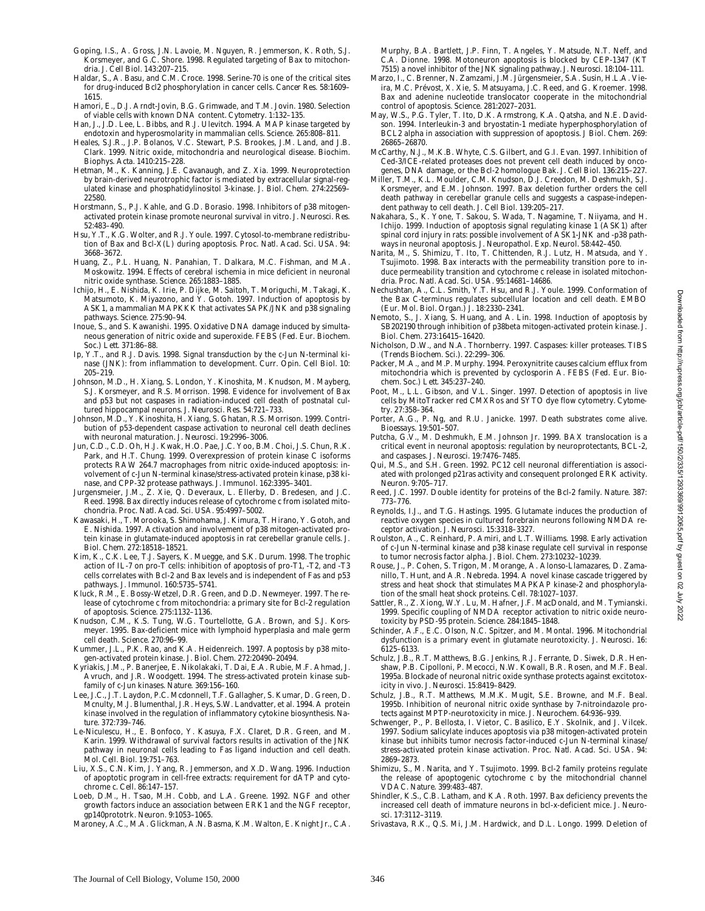- Goping, I.S., A. Gross, J.N. Lavoie, M. Nguyen, R. Jemmerson, K. Roth, S.J. Korsmeyer, and G.C. Shore. 1998. Regulated targeting of Bax to mitochondria. *J. Cell Biol.* 143:207–215.
- Haldar, S., A. Basu, and C.M. Croce. 1998. Serine-70 is one of the critical sites for drug-induced Bcl2 phosphorylation in cancer cells. *Cancer Res*. 58:1609– 1615.
- Hamori, E., D.J. Arndt-Jovin, B.G. Grimwade, and T.M. Jovin. 1980. Selection of viable cells with known DNA content. *Cytometry.* 1:132–135.
- Han, J., J.D. Lee, L. Bibbs, and R.J. Ulevitch. 1994. A MAP kinase targeted by endotoxin and hyperosmolarity in mammalian cells. *Science.* 265:808–811.
- Heales, S.J.R., J.P. Bolanos, V.C. Stewart, P.S. Brookes, J.M. Land, and J.B. Clark. 1999. Nitric oxide, mitochondria and neurological disease. *Biochim. Biophys. Acta.* 1410:215–228.
- Hetman, M., K. Kanning, J.E. Cavanaugh, and Z. Xia. 1999. Neuroprotection by brain-derived neurotrophic factor is mediated by extracellular signal-regulated kinase and phosphatidylinositol 3-kinase. *J. Biol. Chem*. 274:22569– 22580.
- Horstmann, S., P.J. Kahle, and G.D. Borasio. 1998. Inhibitors of p38 mitogenactivated protein kinase promote neuronal survival in vitro. *J. Neurosci. Res*. 52:483–490.
- Hsu, Y.T., K.G. Wolter, and R.J. Youle. 1997. Cytosol-to-membrane redistribution of Bax and Bcl-X(L) during apoptosis. *Proc. Natl. Acad. Sci. USA*. 94: 3668–3672.
- Huang, Z., P.L. Huang, N. Panahian, T. Dalkara, M.C. Fishman, and M.A. Moskowitz. 1994. Effects of cerebral ischemia in mice deficient in neuronal nitric oxide synthase. *Science.* 265:1883–1885.
- Ichijo, H., E. Nishida, K. Irie, P. Dijke, M. Saitoh, T. Moriguchi, M. Takagi, K. Matsumoto, K. Miyazono, and Y. Gotoh. 1997. Induction of apoptosis by ASK1, a mammalian MAPKKK that activates SAPK/JNK and p38 signaling pathways. *Science.* 275:90–94.
- Inoue, S., and S. Kawanishi. 1995. Oxidative DNA damage induced by simultaneous generation of nitric oxide and superoxide. *FEBS (Fed. Eur. Biochem. Soc.) Lett.* 371:86–88.
- Ip, Y.T., and R.J. Davis. 1998. Signal transduction by the c-Jun N-terminal kinase (JNK): from inflammation to development. *Curr. Opin. Cell Biol*. 10: 205–219.
- Johnson, M.D., H. Xiang, S. London, Y. Kinoshita, M. Knudson, M. Mayberg, S.J. Korsmeyer, and R.S. Morrison. 1998. Evidence for involvement of Bax and p53 but not caspases in radiation-induced cell death of postnatal cultured hippocampal neurons. *J. Neurosci. Res*. 54:721–733.
- Johnson, M.D., Y. Kinoshita, H. Xiang, S. Ghatan, R.S. Morrison. 1999. Contribution of p53-dependent caspase activation to neuronal cell death declines with neuronal maturation. *J. Neurosci*. 19:2996–3006.
- Jun, C.D., C.D. Oh, H.J. Kwak, H.O. Pae, J.C. Yoo, B.M. Choi, J.S. Chun, R.K. Park, and H.T. Chung. 1999. Overexpression of protein kinase C isoforms protects RAW 264.7 macrophages from nitric oxide-induced apoptosis: involvement of c-Jun N-terminal kinase/stress-activated protein kinase, p38 kinase, and CPP-32 protease pathways. *J. Immunol*. 162:3395–3401.
- Jurgensmeier, J.M., Z. Xie, Q. Deveraux, L. Ellerby, D. Bredesen, and J.C. Reed. 1998. Bax directly induces release of cytochrome c from isolated mitochondria. *Proc. Natl. Acad. Sci. USA.* 95:4997–5002.
- Kawasaki, H., T. Morooka, S. Shimohama, J. Kimura, T. Hirano, Y. Gotoh, and E. Nishida. 1997. Activation and involvement of p38 mitogen-activated protein kinase in glutamate-induced apoptosis in rat cerebellar granule cells. *J. Biol. Chem*. 272:18518–18521.
- Kim, K., C.K. Lee, T.J. Sayers, K. Muegge, and S.K. Durum. 1998. The trophic action of IL-7 on pro-T cells: inhibition of apoptosis of pro-T1, -T2, and -T3 cells correlates with Bcl-2 and Bax levels and is independent of Fas and p53 pathways. *J. Immunol*. 160:5735–5741.
- Kluck, R.M., E. Bossy-Wetzel, D.R. Green, and D.D. Newmeyer. 1997. The release of cytochrome c from mitochondria: a primary site for Bcl-2 regulation of apoptosis. *Science.* 275:1132–1136.
- Knudson, C.M., K.S. Tung, W.G. Tourtellotte, G.A. Brown, and S.J. Korsmeyer. 1995. Bax-deficient mice with lymphoid hyperplasia and male germ cell death. *Science.* 270:96–99.
- Kummer, J.L., P.K. Rao, and K.A. Heidenreich. 1997. Apoptosis by p38 mitogen-activated protein kinase. *J. Biol. Chem*. 272:20490–20494.
- Kyriakis, J.M., P. Banerjee, E. Nikolakaki, T. Dai, E.A. Rubie, M.F. Ahmad, J. Avruch, and J.R. Woodgett. 1994. The stress-activated protein kinase subfamily of c-Jun kinases. *Nature.* 369:156–160.
- Lee, J.C., J.T. Laydon, P.C. Mcdonnell, T.F. Gallagher, S. Kumar, D. Green, D. Mcnulty, M.J. Blumenthal, J.R. Heys, S.W. Landvatter, et al. 1994. A protein kinase involved in the regulation of inflammatory cytokine biosynthesis. *Nature.* 372:739–746.
- Le-Niculescu, H., E. Bonfoco, Y. Kasuya, F.X. Claret, D.R. Green, and M. Karin. 1999. Withdrawal of survival factors results in activation of the JNK pathway in neuronal cells leading to Fas ligand induction and cell death. *Mol. Cell. Biol.* 19:751–763.
- Liu, X.S., C.N. Kim, J. Yang, R. Jemmerson, and X.D. Wang. 1996. Induction of apoptotic program in cell-free extracts: requirement for dATP and cytochrome c. *Cell.* 86:147–157.
- Loeb, D.M., H. Tsao, M.H. Cobb, and L.A. Greene. 1992. NGF and other growth factors induce an association between ERK1 and the NGF receptor, gp140prototrk. *Neuron.* 9:1053–1065.
- Maroney, A.C., M.A. Glickman, A.N. Basma, K.M. Walton, E. Knight Jr., C.A.

Murphy, B.A. Bartlett, J.P. Finn, T. Angeles, Y. Matsude, N.T. Neff, and C.A. Dionne. 1998. Motoneuron apoptosis is blocked by CEP-1347 (KT 7515) a novel inhibitor of the JNK signaling pathway. *J. Neurosci*. 18:104–111.

- Marzo, I., C. Brenner, N. Zamzami, J.M. Jürgensmeier, S.A. Susin, H.L.A. Vieira, M.C. Prévost, X. Xie, S. Matsuyama, J.C. Reed, and G. Kroemer. 1998. Bax and adenine nucleotide translocator cooperate in the mitochondrial control of apoptosis. *Science.* 281:2027–2031.
- May, W.S., P.G. Tyler, T. Ito, D.K. Armstrong, K.A. Qatsha, and N.E. Davidson. 1994. Interleukin-3 and bryostatin-1 mediate hyperphosphorylation of BCL2 alpha in association with suppression of apoptosis. *J Biol. Chem*. 269: 26865–26870.
- McCarthy, N.J., M.K.B. Whyte, C.S. Gilbert, and G.I. Evan. 1997. Inhibition of Ced-3/ICE-related proteases does not prevent cell death induced by oncogenes, DNA damage, or the Bcl-2 homologue Bak. *J. Cell Biol*. 136:215–227.
- Miller, T.M., K.L. Moulder, C.M. Knudson, D.J. Creedon, M. Deshmukh, S.J. Korsmeyer, and E.M. Johnson. 1997. Bax deletion further orders the cell death pathway in cerebellar granule cells and suggests a caspase-independent pathway to cell death. *J. Cell Biol*. 139:205–217.
- Nakahara, S., K. Yone, T. Sakou, S. Wada, T. Nagamine, T. Niiyama, and H. Ichijo. 1999. Induction of apoptosis signal regulating kinase 1 (ASK1) after spinal cord injury in rats: possible involvement of ASK1-JNK and -p38 pathways in neuronal apoptosis. *J. Neuropathol. Exp. Neurol*. 58:442–450.
- Narita, M., S. Shimizu, T. Ito, T. Chittenden, R.J. Lutz, H. Matsuda, and Y. Tsujimoto. 1998. Bax interacts with the permeability transition pore to induce permeability transition and cytochrome c release in isolated mitochondria. *Proc. Natl. Acad. Sci. USA.* 95:14681–14686.
- Nechushtan, A., C.L. Smith, Y.T. Hsu, and R.J. Youle. 1999. Conformation of the Bax C-terminus regulates subcellular location and cell death. *EMBO (Eur. Mol. Biol. Organ.) J.* 18:2330–2341.
- Nemoto, S., J. Xiang, S. Huang, and A. Lin. 1998. Induction of apoptosis by SB202190 through inhibition of p38beta mitogen-activated protein kinase. *J. Biol. Chem.* 273:16415–16420.
- Nicholson, D.W., and N.A. Thornberry. 1997. Caspases: killer proteases. *TIBS (Trends Biochem. Sci.).* 22:299–306.
- Packer, M.A., and M.P. Murphy. 1994. Peroxynitrite causes calcium efflux from mitochondria which is prevented by cyclosporin A. *FEBS (Fed. Eur. Biochem. Soc.) Lett*. 345:237–240.
- Poot, M., L.L. Gibson, and V.L. Singer. 1997. Detection of apoptosis in live cells by MitoTracker red CMXRos and SYTO dye flow cytometry. *Cytometry.* 27:358–364.
- Porter, A.G., P. Ng, and R.U. Janicke. 1997. Death substrates come alive. *Bioessays*. 19:501–507.
- Putcha, G.V., M. Deshmukh, E.M. Johnson Jr. 1999. BAX translocation is a critical event in neuronal apoptosis: regulation by neuroprotectants, BCL-2, and caspases. *J. Neurosci*. 19:7476–7485.
- Qui, M.S., and S.H. Green. 1992. PC12 cell neuronal differentiation is associated with prolonged p21ras activity and consequent prolonged ERK activity. *Neuron.* 9:705–717.
- Reed, J.C. 1997. Double identity for proteins of the Bcl-2 family. *Nature.* 387: 773–776.
- Reynolds, I.J., and T.G. Hastings. 1995. Glutamate induces the production of reactive oxygen species in cultured forebrain neurons following NMDA receptor activation. *J. Neurosci*. 15:3318–3327.
- Roulston, A., C. Reinhard, P. Amiri, and L.T. Williams. 1998. Early activation of c-Jun N-terminal kinase and p38 kinase regulate cell survival in response to tumor necrosis factor alpha. *J. Biol. Chem*. 273:10232–10239.
- Rouse, J., P. Cohen, S. Trigon, M. Morange, A. Alonso-Llamazares, D. Zamanillo, T. Hunt, and A.R. Nebreda. 1994. A novel kinase cascade triggered by stress and heat shock that stimulates MAPKAP kinase-2 and phosphorylation of the small heat shock proteins. *Cell.* 78:1027–1037.
- Sattler, R., Z. Xiong, W.Y. Lu, M. Hafner, J.F. MacDonald, and M. Tymianski. 1999. Specific coupling of NMDA receptor activation to nitric oxide neurotoxicity by PSD-95 protein. *Science.* 284:1845–1848.
- Schinder, A.F., E.C. Olson, N.C. Spitzer, and M. Montal. 1996. Mitochondrial dysfunction is a primary event in glutamate neurotoxicity. *J. Neurosci*. 16: 6125–6133.
- Schulz, J.B., R.T. Matthews, B.G. Jenkins, R.J. Ferrante, D. Siwek, D.R. Henshaw, P.B. Cipolloni, P. Mecocci, N.W. Kowall, B.R. Rosen, and M.F. Beal. 1995a. Blockade of neuronal nitric oxide synthase protects against excitotoxicity in vivo. *J. Neurosci*. 15:8419–8429.
- Schulz, J.B., R.T. Matthews, M.M.K. Mugit, S.E. Browne, and M.F. Beal. 1995b. Inhibition of neuronal nitric oxide synthase by 7-nitroindazole protects against MPTP-neurotoxicity in mice. *J. Neurochem*. 64:936–939.
- Schwenger, P., P. Bellosta, I. Vietor, C. Basilico, E.Y. Skolnik, and J. Vilcek. 1997. Sodium salicylate induces apoptosis via p38 mitogen-activated protein kinase but inhibits tumor necrosis factor-induced c-Jun N-terminal kinase/ stress-activated protein kinase activation. *Proc. Natl. Acad. Sci. USA.* 94: 2869–2873.
- Shimizu, S., M. Narita, and Y. Tsujimoto. 1999. Bcl-2 family proteins regulate the release of apoptogenic cytochrome c by the mitochondrial channel VDAC. *Nature.* 399:483–487.
- Shindler, K.S., C.B. Latham, and K.A. Roth. 1997. Bax deficiency prevents the increased cell death of immature neurons in bcl-x-deficient mice. *J. Neurosci*. 17:3112–3119.
- Srivastava, R.K., Q.S. Mi, J.M. Hardwick, and D.L. Longo. 1999. Deletion of